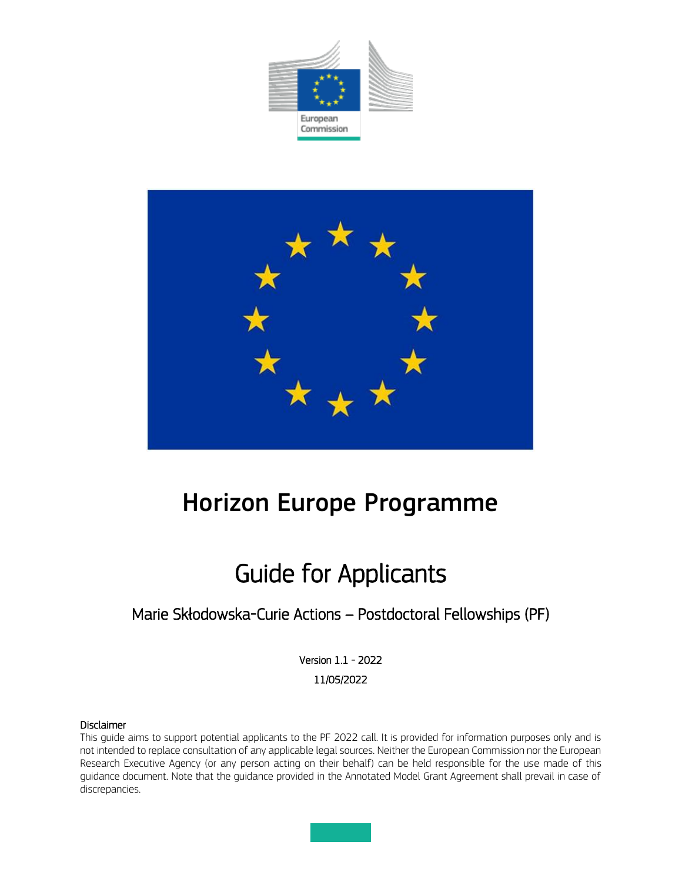



# Horizon Europe Programme

# Guide for Applicants

### Marie Skłodowska-Curie Actions – Postdoctoral Fellowships (PF)

Version 1.1 - 2022 11/05/2022

#### Disclaimer

This guide aims to support potential applicants to the PF 2022 call. It is provided for information purposes only and is not intended to replace consultation of any applicable legal sources. Neither the European Commission nor the European Research Executive Agency (or any person acting on their behalf) can be held responsible for the use made of this guidance document. Note that the guidance provided in the Annotated Model Grant Agreement shall prevail in case of discrepancies.

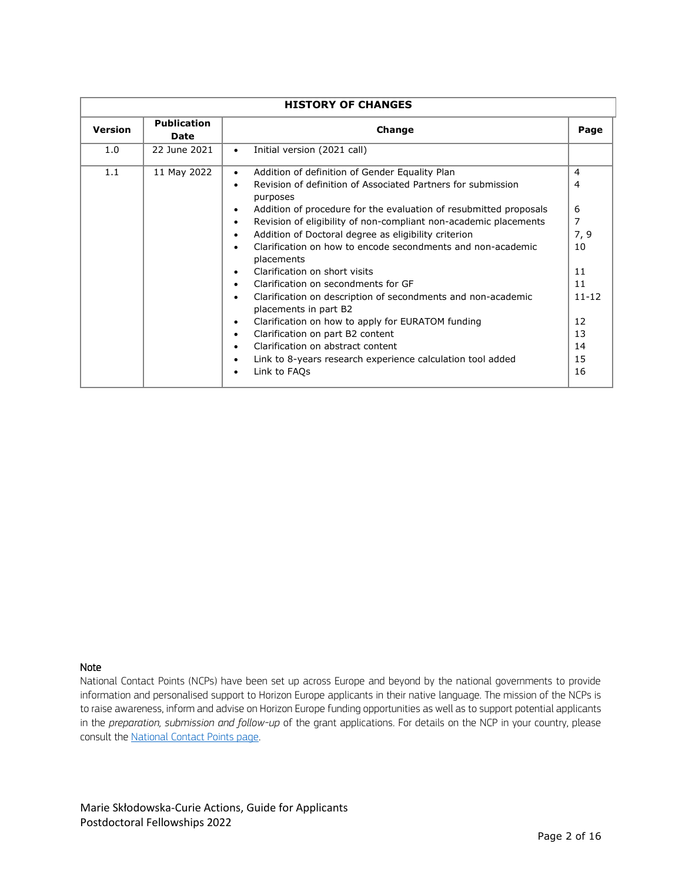| <b>HISTORY OF CHANGES</b> |                            |                                                                                                                                                                                                                                                                                                                                                                                                                                                                                                                                                                                                                                                                                                                                                                                                                           |                                                                                       |
|---------------------------|----------------------------|---------------------------------------------------------------------------------------------------------------------------------------------------------------------------------------------------------------------------------------------------------------------------------------------------------------------------------------------------------------------------------------------------------------------------------------------------------------------------------------------------------------------------------------------------------------------------------------------------------------------------------------------------------------------------------------------------------------------------------------------------------------------------------------------------------------------------|---------------------------------------------------------------------------------------|
| <b>Version</b>            | <b>Publication</b><br>Date | Change<br>Page                                                                                                                                                                                                                                                                                                                                                                                                                                                                                                                                                                                                                                                                                                                                                                                                            |                                                                                       |
| 1.0                       | 22 June 2021               | Initial version (2021 call)<br>$\bullet$                                                                                                                                                                                                                                                                                                                                                                                                                                                                                                                                                                                                                                                                                                                                                                                  |                                                                                       |
| 1.1                       | 11 May 2022                | Addition of definition of Gender Equality Plan<br>$\bullet$<br>Revision of definition of Associated Partners for submission<br>purposes<br>Addition of procedure for the evaluation of resubmitted proposals<br>Revision of eligibility of non-compliant non-academic placements<br>٠<br>Addition of Doctoral degree as eligibility criterion<br>Clarification on how to encode secondments and non-academic<br>placements<br>Clarification on short visits<br>Clarification on secondments for GF<br>Clarification on description of secondments and non-academic<br>placements in part B2<br>Clarification on how to apply for EURATOM funding<br>$\bullet$<br>Clarification on part B2 content<br>٠<br>Clarification on abstract content<br>Link to 8-years research experience calculation tool added<br>Link to FAQs | 4<br>4<br>6<br>7<br>7, 9<br>10<br>11<br>11<br>$11 - 12$<br>12<br>13<br>14<br>15<br>16 |

#### Note

National Contact Points (NCPs) have been set up across Europe and beyond by the national governments to provide information and personalised support to Horizon Europe applicants in their native language. The mission of the NCPs is to raise awareness, inform and advise on Horizon Europe funding opportunities as well as to support potential applicants in the *preparation, submission and follow-up* of the grant applications. For details on the NCP in your country, please consult the [National Contact Points page.](https://ec.europa.eu/info/funding-tenders/opportunities/portal/screen/support/ncp)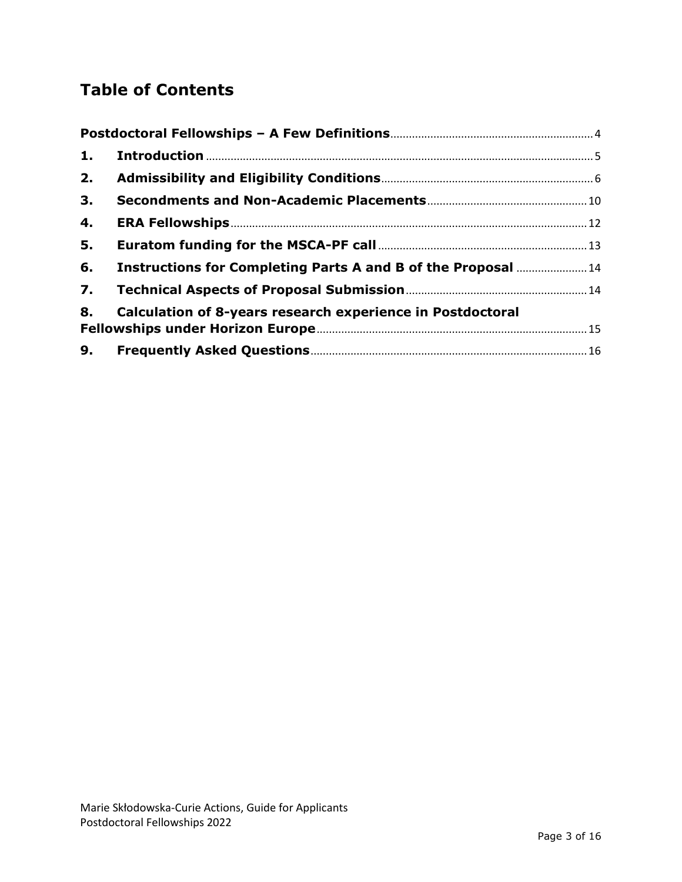## **Table of Contents**

| 1.             |                                                                   |  |  |
|----------------|-------------------------------------------------------------------|--|--|
| 2.             |                                                                   |  |  |
| 3.             |                                                                   |  |  |
| 4.             |                                                                   |  |  |
| 5.             |                                                                   |  |  |
| 6.             | Instructions for Completing Parts A and B of the Proposal  14     |  |  |
| $\mathbf{7}$ . |                                                                   |  |  |
| 8.             | <b>Calculation of 8-years research experience in Postdoctoral</b> |  |  |
|                |                                                                   |  |  |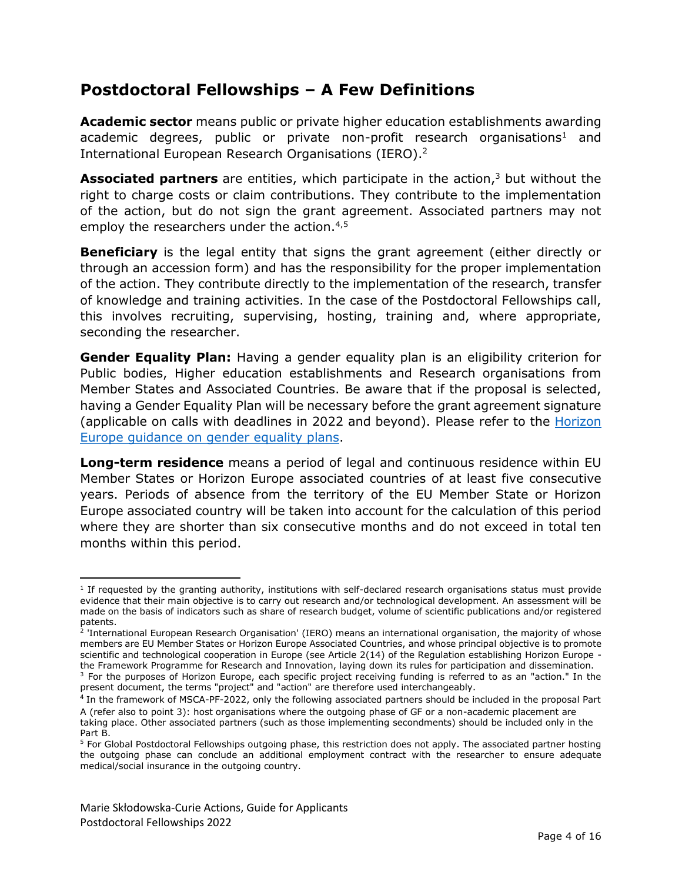### <span id="page-3-0"></span>**Postdoctoral Fellowships – A Few Definitions**

**Academic sector** means public or private higher education establishments awarding academic degrees, public or private non-profit research organisations<sup>1</sup> and International European Research Organisations (IERO).<sup>2</sup>

**Associated partners** are entities, which participate in the action,<sup>3</sup> but without the right to charge costs or claim contributions. They contribute to the implementation of the action, but do not sign the grant agreement. Associated partners may not employ the researchers under the action.<sup>4,5</sup>

**Beneficiary** is the legal entity that signs the grant agreement (either directly or through an accession form) and has the responsibility for the proper implementation of the action. They contribute directly to the implementation of the research, transfer of knowledge and training activities. In the case of the Postdoctoral Fellowships call, this involves recruiting, supervising, hosting, training and, where appropriate, seconding the researcher.

**Gender Equality Plan:** Having a gender equality plan is an eligibility criterion for Public bodies, Higher education establishments and Research organisations from Member States and Associated Countries. Be aware that if the proposal is selected, having a Gender Equality Plan will be necessary before the grant agreement signature (applicable on calls with deadlines in 2022 and beyond). Please refer to the Horizon [Europe guidance on gender equality plans.](https://op.europa.eu/en/publication-detail/-/publication/ffcb06c3-200a-11ec-bd8e-01aa75ed71a1/language-en/format-PDF/source-232129669)

**Long-term residence** means a period of legal and continuous residence within EU Member States or Horizon Europe associated countries of at least five consecutive years. Periods of absence from the territory of the EU Member State or Horizon Europe associated country will be taken into account for the calculation of this period where they are shorter than six consecutive months and do not exceed in total ten months within this period.

 $\overline{\phantom{a}}$ 

<sup>&</sup>lt;sup>1</sup> If requested by the granting authority, institutions with self-declared research organisations status must provide evidence that their main objective is to carry out research and/or technological development. An assessment will be made on the basis of indicators such as share of research budget, volume of scientific publications and/or registered patents.

<sup>2</sup> 'International European Research Organisation' (IERO) means an international organisation, the majority of whose members are EU Member States or Horizon Europe Associated Countries, and whose principal objective is to promote scientific and technological cooperation in Europe (see Article 2(14) of the Regulation establishing Horizon Europe the Framework Programme for Research and Innovation, laying down its rules for participation and dissemination.

<sup>&</sup>lt;sup>3</sup> For the purposes of Horizon Europe, each specific project receiving funding is referred to as an "action." In the present document, the terms "project" and "action" are therefore used interchangeably.

<sup>&</sup>lt;sup>4</sup> In the framework of MSCA-PF-2022, only the following associated partners should be included in the proposal Part A (refer also to point 3): host organisations where the outgoing phase of GF or a non-academic placement are

taking place. Other associated partners (such as those implementing secondments) should be included only in the Part B.

<sup>&</sup>lt;sup>5</sup> For Global Postdoctoral Fellowships outgoing phase, this restriction does not apply. The associated partner hosting the outgoing phase can conclude an additional employment contract with the researcher to ensure adequate medical/social insurance in the outgoing country.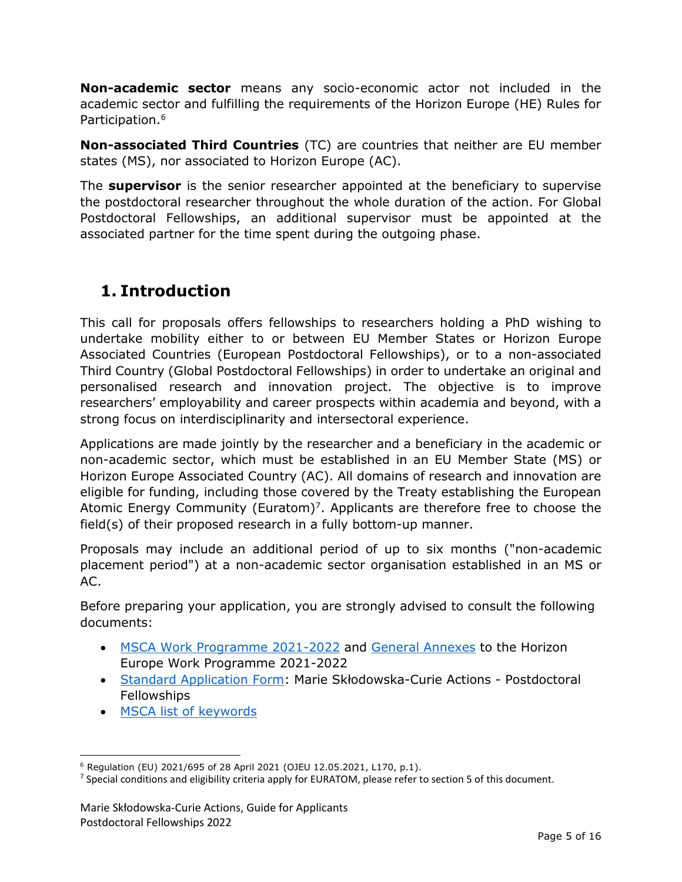**Non-academic sector** means any socio-economic actor not included in the academic sector and fulfilling the requirements of the Horizon Europe (HE) Rules for Participation.<sup>6</sup>

**Non-associated Third Countries** (TC) are countries that neither are EU member states (MS), nor associated to Horizon Europe (AC).

The **supervisor** is the senior researcher appointed at the beneficiary to supervise the postdoctoral researcher throughout the whole duration of the action. For Global Postdoctoral Fellowships, an additional supervisor must be appointed at the associated partner for the time spent during the outgoing phase.

### <span id="page-4-0"></span>**1. Introduction**

This call for proposals offers fellowships to researchers holding a PhD wishing to undertake mobility either to or between EU Member States or Horizon Europe Associated Countries (European Postdoctoral Fellowships), or to a non-associated Third Country (Global Postdoctoral Fellowships) in order to undertake an original and personalised research and innovation project. The objective is to improve researchers' employability and career prospects within academia and beyond, with a strong focus on interdisciplinarity and intersectoral experience.

Applications are made jointly by the researcher and a beneficiary in the academic or non-academic sector, which must be established in an EU Member State (MS) or Horizon Europe Associated Country (AC). All domains of research and innovation are eligible for funding, including those covered by the Treaty establishing the European Atomic Energy Community (Euratom)<sup>7</sup>. Applicants are therefore free to choose the field(s) of their proposed research in a fully bottom-up manner.

Proposals may include an additional period of up to six months ("non-academic placement period") at a non-academic sector organisation established in an MS or AC.

Before preparing your application, you are strongly advised to consult the following documents:

- [MSCA Work Programme 2021-2022](https://ec.europa.eu/info/funding-tenders/opportunities/docs/2021-2027/horizon/wp-call/2021-2022/wp-2-msca-actions_horizon-2021-2022_en.pdf) and [General Annexes](https://ec.europa.eu/info/funding-tenders/opportunities/docs/2021-2027/horizon/wp-call/2021-2022/wp-13-general-annexes_horizon-2021-2022_en.pdf) to the Horizon Europe Work Programme 2021-2022
- [Standard Application Form](https://ec.europa.eu/info/funding-tenders/opportunities/docs/2021-2027/horizon/temp-form/af/af_he-msca-pf_en.pdf): Marie Skłodowska-Curie Actions Postdoctoral Fellowships
- [MSCA list of keywords](https://rea.ec.europa.eu/system/files/2021-10/MSCA%20Keywords.pdf)

 $\overline{\phantom{a}}$ <sup>6</sup> Regulation (EU) 2021/695 of 28 April 2021 (OJEU 12.05.2021, L170, p.1).

 $^7$  Special conditions and eligibility criteria apply for EURATOM, please refer to section 5 of this document.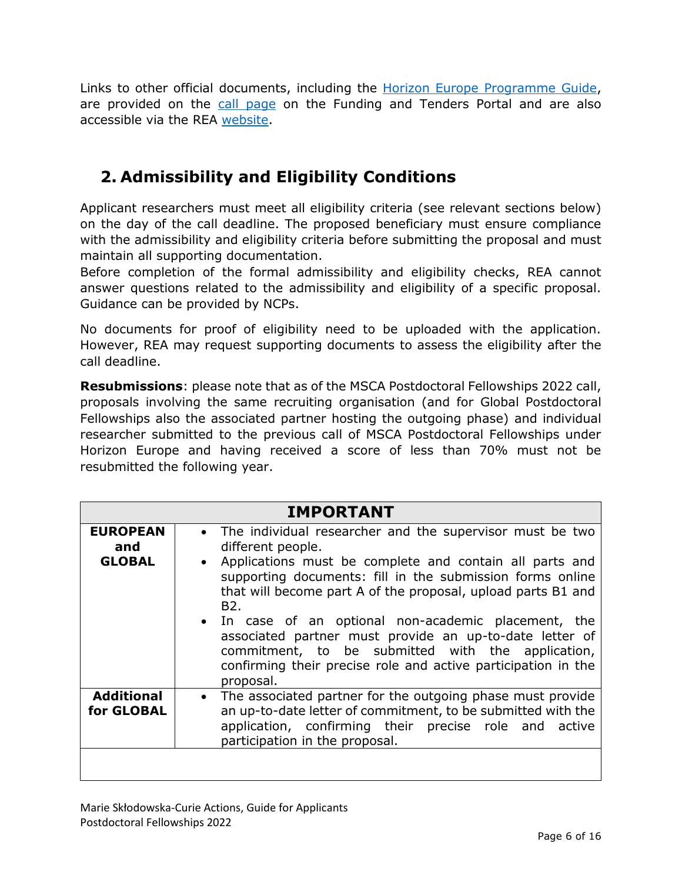Links to other official documents, including the [Horizon Europe Programme Guide,](https://ec.europa.eu/info/funding-tenders/opportunities/docs/2021-2027/horizon/guidance/programme-guide_horizon_en.pdf) are provided on the [call page](https://ec.europa.eu/info/funding-tenders/opportunities/portal/screen/opportunities/topic-details/horizon-msca-2022-pf-01-01;callCode=null;freeTextSearchKeyword=msca-2022-pf;matchWholeText=true;typeCodes=1,0;statusCodes=31094501,31094502,31094503;programmePeriod=null;programCcm2Id=null;programDivisionCode=null;focusAreaCode=null;destination=null;mission=null;geographicalZonesCode=null;programmeDivisionProspect=null;startDateLte=null;startDateGte=null;crossCuttingPriorityCode=null;cpvCode=null;performanceOfDelivery=null;sortQuery=sortStatus;orderBy=asc;onlyTenders=false;topicListKey=topicSearchTablePageState) on the Funding and Tenders Portal and are also accessible via the REA [website.](https://rea.ec.europa.eu/funding-and-grants/horizon-europe-marie-sklodowska-curie-actions/msca-postdoctoral-fellowships_en)

### <span id="page-5-0"></span>**2. Admissibility and Eligibility Conditions**

Applicant researchers must meet all eligibility criteria (see relevant sections below) on the day of the call deadline. The proposed beneficiary must ensure compliance with the admissibility and eligibility criteria before submitting the proposal and must maintain all supporting documentation.

Before completion of the formal admissibility and eligibility checks, REA cannot answer questions related to the admissibility and eligibility of a specific proposal. Guidance can be provided by NCPs.

No documents for proof of eligibility need to be uploaded with the application. However, REA may request supporting documents to assess the eligibility after the call deadline.

**Resubmissions**: please note that as of the MSCA Postdoctoral Fellowships 2022 call, proposals involving the same recruiting organisation (and for Global Postdoctoral Fellowships also the associated partner hosting the outgoing phase) and individual researcher submitted to the previous call of MSCA Postdoctoral Fellowships under Horizon Europe and having received a score of less than 70% must not be resubmitted the following year.

|                                         | <b>IMPORTANT</b>                                                                                                                                                                                                                                                                                                                                                                                                                                                                                                                                               |
|-----------------------------------------|----------------------------------------------------------------------------------------------------------------------------------------------------------------------------------------------------------------------------------------------------------------------------------------------------------------------------------------------------------------------------------------------------------------------------------------------------------------------------------------------------------------------------------------------------------------|
| <b>EUROPEAN</b><br>and<br><b>GLOBAL</b> | • The individual researcher and the supervisor must be two<br>different people.<br>Applications must be complete and contain all parts and<br>$\bullet$<br>supporting documents: fill in the submission forms online<br>that will become part A of the proposal, upload parts B1 and<br>B <sub>2</sub> .<br>• In case of an optional non-academic placement, the<br>associated partner must provide an up-to-date letter of<br>commitment, to be submitted with the application,<br>confirming their precise role and active participation in the<br>proposal. |
| <b>Additional</b><br>for GLOBAL         | The associated partner for the outgoing phase must provide<br>$\bullet$<br>an up-to-date letter of commitment, to be submitted with the<br>application, confirming their precise role and active<br>participation in the proposal.                                                                                                                                                                                                                                                                                                                             |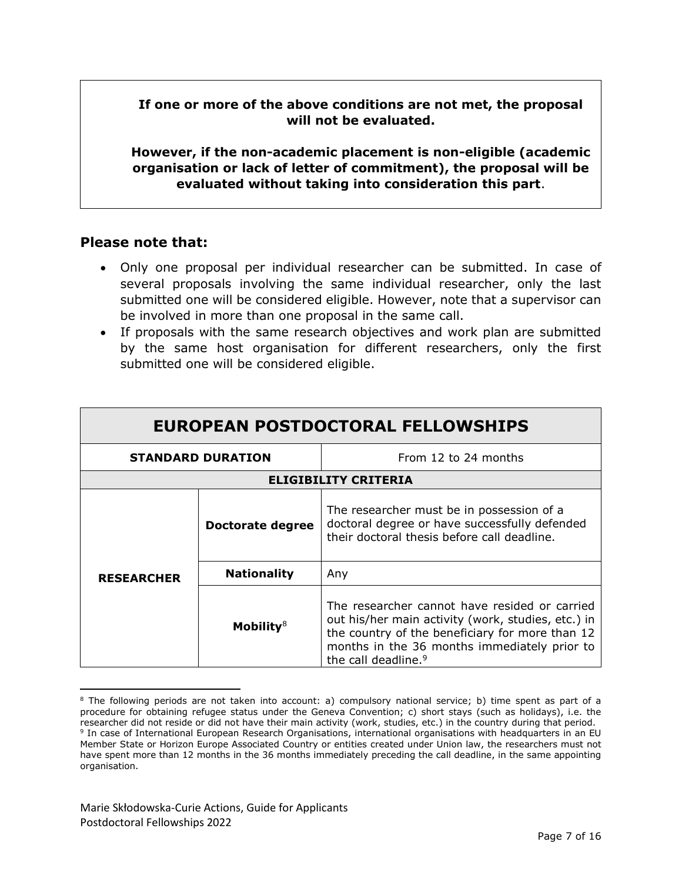**If one or more of the above conditions are not met, the proposal will not be evaluated.**

**However, if the non-academic placement is non-eligible (academic organisation or lack of letter of commitment), the proposal will be evaluated without taking into consideration this part**.

#### **Please note that:**

- Only one proposal per individual researcher can be submitted. In case of several proposals involving the same individual researcher, only the last submitted one will be considered eligible. However, note that a supervisor can be involved in more than one proposal in the same call.
- If proposals with the same research objectives and work plan are submitted by the same host organisation for different researchers, only the first submitted one will be considered eligible.

| EUROPEAN POSTDOCTORAL FELLOWSHIPS |                    |                                                                                                                                                                                                                                           |
|-----------------------------------|--------------------|-------------------------------------------------------------------------------------------------------------------------------------------------------------------------------------------------------------------------------------------|
| <b>STANDARD DURATION</b>          |                    | From 12 to 24 months                                                                                                                                                                                                                      |
| <b>ELIGIBILITY CRITERIA</b>       |                    |                                                                                                                                                                                                                                           |
|                                   | Doctorate degree   | The researcher must be in possession of a<br>doctoral degree or have successfully defended<br>their doctoral thesis before call deadline.                                                                                                 |
| <b>RESEARCHER</b>                 | <b>Nationality</b> | Any                                                                                                                                                                                                                                       |
|                                   | Mobility $8$       | The researcher cannot have resided or carried<br>out his/her main activity (work, studies, etc.) in<br>the country of the beneficiary for more than 12<br>months in the 36 months immediately prior to<br>the call deadline. <sup>9</sup> |

 $\overline{\phantom{a}}$ <sup>8</sup> The following periods are not taken into account: a) compulsory national service; b) time spent as part of a procedure for obtaining refugee status under the Geneva Convention; c) short stays (such as holidays), i.e. the researcher did not reside or did not have their main activity (work, studies, etc.) in the country during that period. 9 In case of International European Research Organisations, international organisations with headquarters in an EU Member State or Horizon Europe Associated Country or entities created under Union law, the researchers must not have spent more than 12 months in the 36 months immediately preceding the call deadline, in the same appointing organisation.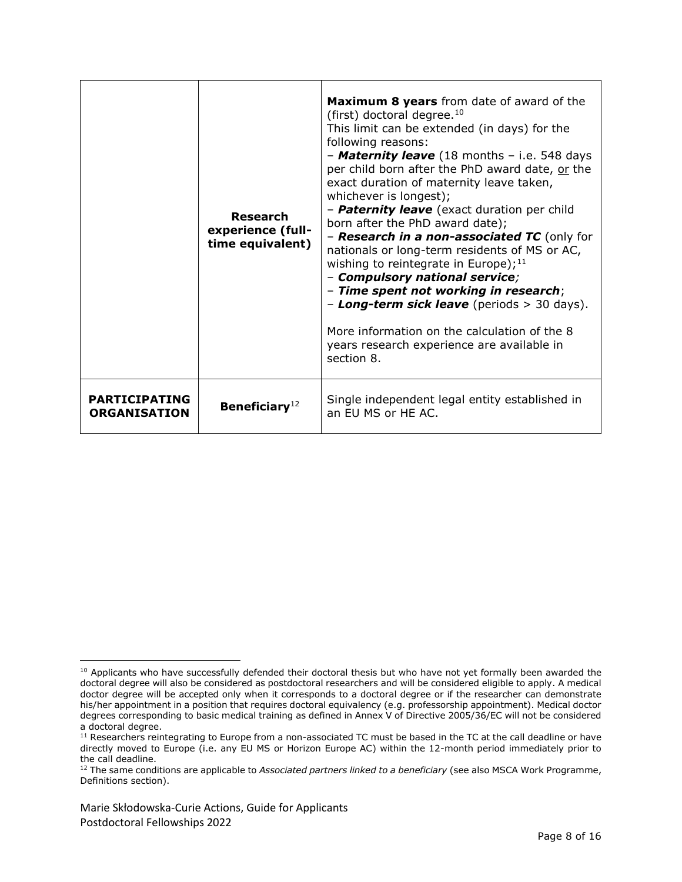|                                             | Research<br>experience (full-<br>time equivalent) | <b>Maximum 8 years</b> from date of award of the<br>(first) doctoral degree. <sup>10</sup><br>This limit can be extended (in days) for the<br>following reasons:<br>- Maternity leave (18 months - i.e. 548 days<br>per child born after the PhD award date, or the<br>exact duration of maternity leave taken,<br>whichever is longest);<br>- Paternity leave (exact duration per child<br>born after the PhD award date);<br>- Research in a non-associated TC (only for<br>nationals or long-term residents of MS or AC,<br>wishing to reintegrate in Europe); $^{11}$<br>- Compulsory national service;<br>- Time spent not working in research;<br>- Long-term sick leave (periods > 30 days).<br>More information on the calculation of the 8<br>years research experience are available in<br>section 8. |
|---------------------------------------------|---------------------------------------------------|-----------------------------------------------------------------------------------------------------------------------------------------------------------------------------------------------------------------------------------------------------------------------------------------------------------------------------------------------------------------------------------------------------------------------------------------------------------------------------------------------------------------------------------------------------------------------------------------------------------------------------------------------------------------------------------------------------------------------------------------------------------------------------------------------------------------|
| <b>PARTICIPATING</b><br><b>ORGANISATION</b> | Beneficiary $12$                                  | Single independent legal entity established in<br>an EU MS or HE AC.                                                                                                                                                                                                                                                                                                                                                                                                                                                                                                                                                                                                                                                                                                                                            |

 $\overline{\phantom{a}}$ <sup>10</sup> Applicants who have successfully defended their doctoral thesis but who have not yet formally been awarded the doctoral degree will also be considered as postdoctoral researchers and will be considered eligible to apply. A medical doctor degree will be accepted only when it corresponds to a doctoral degree or if the researcher can demonstrate his/her appointment in a position that requires doctoral equivalency (e.g. professorship appointment). Medical doctor degrees corresponding to basic medical training as defined in Annex V of Directive 2005/36/EC will not be considered a doctoral degree.

 $11$  Researchers reintegrating to Europe from a non-associated TC must be based in the TC at the call deadline or have directly moved to Europe (i.e. any EU MS or Horizon Europe AC) within the 12-month period immediately prior to the call deadline.

<sup>12</sup> The same conditions are applicable to *Associated partners linked to a beneficiary* (see also MSCA Work Programme, Definitions section).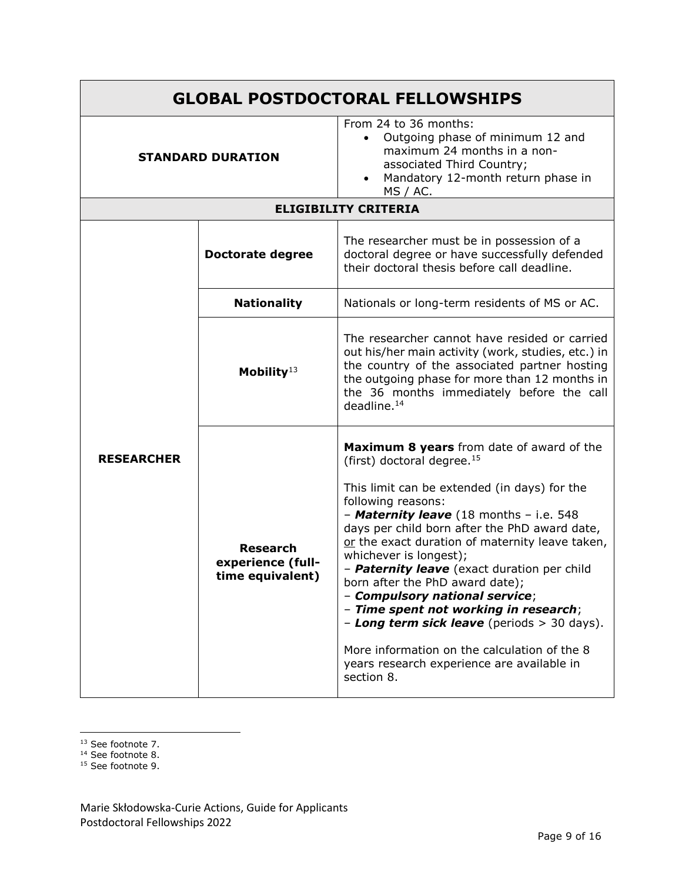| <b>GLOBAL POSTDOCTORAL FELLOWSHIPS</b> |                                                          |                                                                                                                                                                                                                                                                                                                                                                                                                                                                                                                                                                                                                                                                     |
|----------------------------------------|----------------------------------------------------------|---------------------------------------------------------------------------------------------------------------------------------------------------------------------------------------------------------------------------------------------------------------------------------------------------------------------------------------------------------------------------------------------------------------------------------------------------------------------------------------------------------------------------------------------------------------------------------------------------------------------------------------------------------------------|
| <b>STANDARD DURATION</b>               |                                                          | From 24 to 36 months:<br>Outgoing phase of minimum 12 and<br>maximum 24 months in a non-<br>associated Third Country;<br>Mandatory 12-month return phase in<br>MS / AC.                                                                                                                                                                                                                                                                                                                                                                                                                                                                                             |
|                                        |                                                          | <b>ELIGIBILITY CRITERIA</b>                                                                                                                                                                                                                                                                                                                                                                                                                                                                                                                                                                                                                                         |
|                                        | <b>Doctorate degree</b>                                  | The researcher must be in possession of a<br>doctoral degree or have successfully defended<br>their doctoral thesis before call deadline.                                                                                                                                                                                                                                                                                                                                                                                                                                                                                                                           |
|                                        | <b>Nationality</b>                                       | Nationals or long-term residents of MS or AC.                                                                                                                                                                                                                                                                                                                                                                                                                                                                                                                                                                                                                       |
|                                        | Mobility <sup>13</sup>                                   | The researcher cannot have resided or carried<br>out his/her main activity (work, studies, etc.) in<br>the country of the associated partner hosting<br>the outgoing phase for more than 12 months in<br>the 36 months immediately before the call<br>deadline. <sup>14</sup>                                                                                                                                                                                                                                                                                                                                                                                       |
| <b>RESEARCHER</b>                      | <b>Research</b><br>experience (full-<br>time equivalent) | <b>Maximum 8 years</b> from date of award of the<br>(first) doctoral degree. <sup>15</sup><br>This limit can be extended (in days) for the<br>following reasons:<br>- Maternity leave (18 months - i.e. 548<br>days per child born after the PhD award date,<br>or the exact duration of maternity leave taken,<br>whichever is longest);<br>- Paternity leave (exact duration per child<br>born after the PhD award date);<br>- Compulsory national service;<br>- Time spent not working in research;<br>- Long term sick leave (periods $>$ 30 days).<br>More information on the calculation of the 8<br>years research experience are available in<br>section 8. |

 $\overline{\phantom{a}}$ <sup>13</sup> See footnote 7.

<sup>14</sup> See footnote 8.

<sup>15</sup> See footnote 9.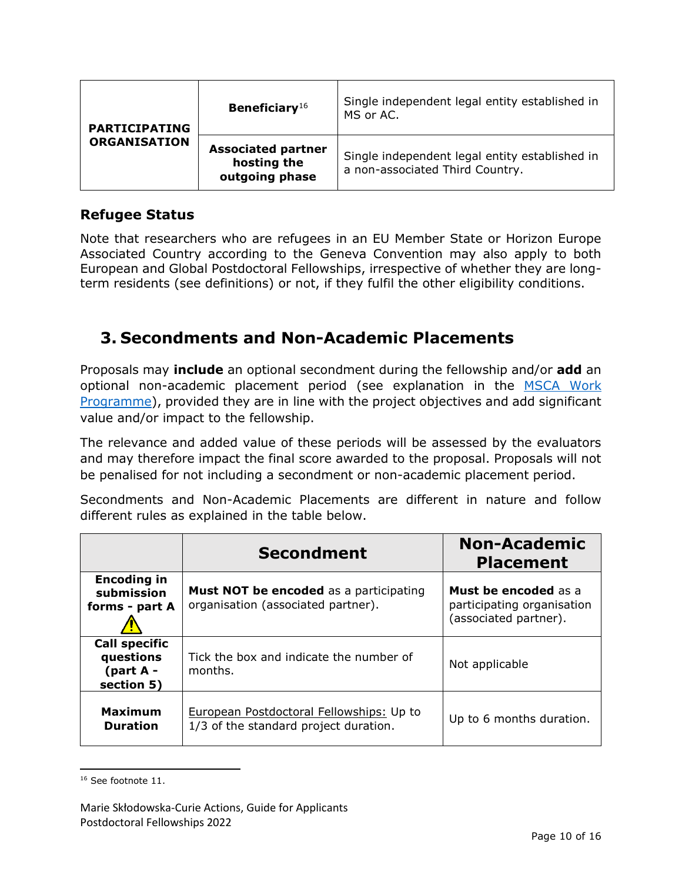| <b>PARTICIPATING</b><br><b>ORGANISATION</b> | Beneficiary $16$                                           | Single independent legal entity established in<br>MS or AC.                       |
|---------------------------------------------|------------------------------------------------------------|-----------------------------------------------------------------------------------|
|                                             | <b>Associated partner</b><br>hosting the<br>outgoing phase | Single independent legal entity established in<br>a non-associated Third Country. |

### **Refugee Status**

Note that researchers who are refugees in an EU Member State or Horizon Europe Associated Country according to the Geneva Convention may also apply to both European and Global Postdoctoral Fellowships, irrespective of whether they are longterm residents (see definitions) or not, if they fulfil the other eligibility conditions.

### <span id="page-9-0"></span>**3. Secondments and Non-Academic Placements**

Proposals may **include** an optional secondment during the fellowship and/or **add** an optional non-academic placement period (see explanation in the MSCA Work [Programme\)](https://ec.europa.eu/info/funding-tenders/opportunities/docs/2021-2027/horizon/wp-call/2021-2022/wp-2-msca-actions_horizon-2021-2022_en.pdf), provided they are in line with the project objectives and add significant value and/or impact to the fellowship.

The relevance and added value of these periods will be assessed by the evaluators and may therefore impact the final score awarded to the proposal. Proposals will not be penalised for not including a secondment or non-academic placement period.

Secondments and Non-Academic Placements are different in nature and follow different rules as explained in the table below.

|                                                              | <b>Secondment</b>                                                                   | <b>Non-Academic</b><br><b>Placement</b>                                            |
|--------------------------------------------------------------|-------------------------------------------------------------------------------------|------------------------------------------------------------------------------------|
| <b>Encoding in</b><br>submission<br>forms - part A           | <b>Must NOT be encoded</b> as a participating<br>organisation (associated partner). | <b>Must be encoded</b> as a<br>participating organisation<br>(associated partner). |
| <b>Call specific</b><br>questions<br>(part A -<br>section 5) | Tick the box and indicate the number of<br>months.                                  | Not applicable                                                                     |
| <b>Maximum</b><br><b>Duration</b>                            | European Postdoctoral Fellowships: Up to<br>1/3 of the standard project duration.   | Up to 6 months duration.                                                           |

l <sup>16</sup> See footnote 11.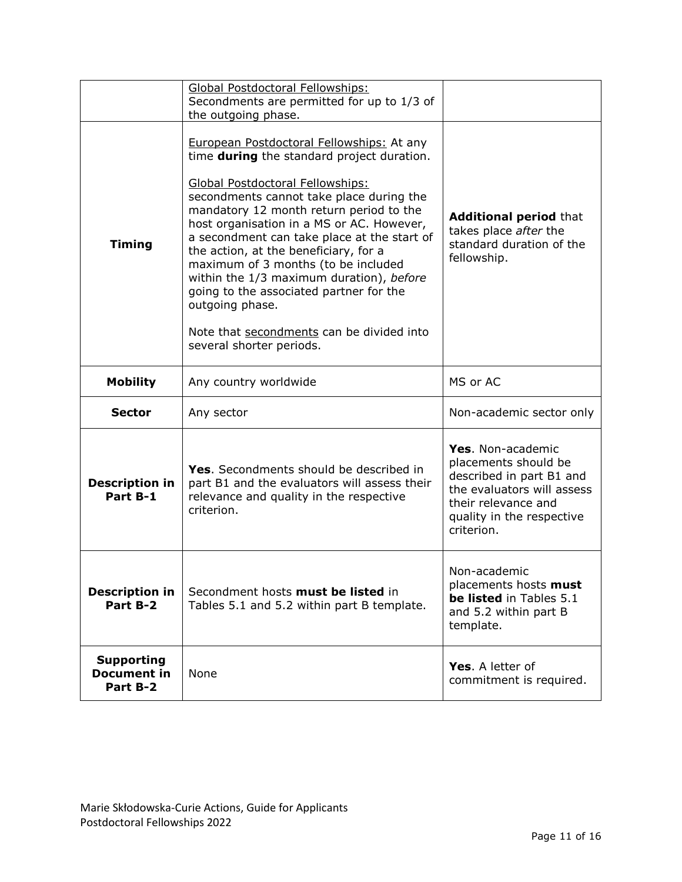|                                                     | Global Postdoctoral Fellowships:<br>Secondments are permitted for up to 1/3 of                                                                                                                                                                                                                                                                                                                                                                                                                                                                                                           |                                                                                                                                                                       |
|-----------------------------------------------------|------------------------------------------------------------------------------------------------------------------------------------------------------------------------------------------------------------------------------------------------------------------------------------------------------------------------------------------------------------------------------------------------------------------------------------------------------------------------------------------------------------------------------------------------------------------------------------------|-----------------------------------------------------------------------------------------------------------------------------------------------------------------------|
|                                                     | the outgoing phase.                                                                                                                                                                                                                                                                                                                                                                                                                                                                                                                                                                      |                                                                                                                                                                       |
| <b>Timing</b>                                       | European Postdoctoral Fellowships: At any<br>time <b>during</b> the standard project duration.<br>Global Postdoctoral Fellowships:<br>secondments cannot take place during the<br>mandatory 12 month return period to the<br>host organisation in a MS or AC. However,<br>a secondment can take place at the start of<br>the action, at the beneficiary, for a<br>maximum of 3 months (to be included<br>within the 1/3 maximum duration), before<br>going to the associated partner for the<br>outgoing phase.<br>Note that secondments can be divided into<br>several shorter periods. | <b>Additional period that</b><br>takes place after the<br>standard duration of the<br>fellowship.                                                                     |
| <b>Mobility</b>                                     | Any country worldwide                                                                                                                                                                                                                                                                                                                                                                                                                                                                                                                                                                    | MS or AC                                                                                                                                                              |
| <b>Sector</b>                                       | Any sector                                                                                                                                                                                                                                                                                                                                                                                                                                                                                                                                                                               | Non-academic sector only                                                                                                                                              |
| <b>Description in</b><br>Part B-1                   | Yes. Secondments should be described in<br>part B1 and the evaluators will assess their<br>relevance and quality in the respective<br>criterion.                                                                                                                                                                                                                                                                                                                                                                                                                                         | Yes. Non-academic<br>placements should be<br>described in part B1 and<br>the evaluators will assess<br>their relevance and<br>quality in the respective<br>criterion. |
| <b>Description in</b><br>Part B-2                   | Secondment hosts must be listed in<br>Tables 5.1 and 5.2 within part B template.                                                                                                                                                                                                                                                                                                                                                                                                                                                                                                         | Non-academic<br>placements hosts must<br>be listed in Tables 5.1<br>and 5.2 within part B<br>template.                                                                |
| <b>Supporting</b><br><b>Document in</b><br>Part B-2 | None                                                                                                                                                                                                                                                                                                                                                                                                                                                                                                                                                                                     | Yes. A letter of<br>commitment is required.                                                                                                                           |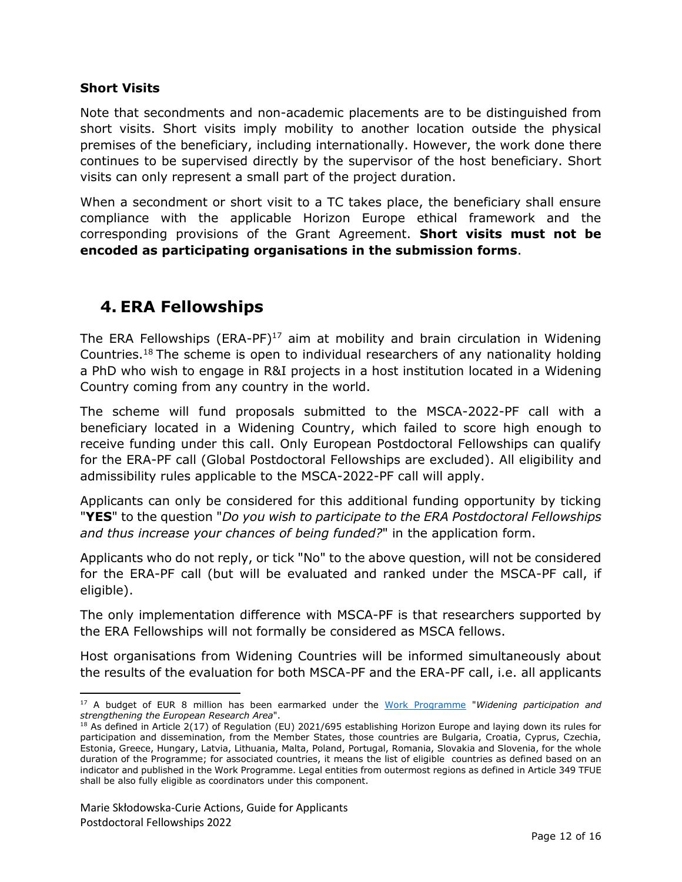#### **Short Visits**

Note that secondments and non-academic placements are to be distinguished from short visits. Short visits imply mobility to another location outside the physical premises of the beneficiary, including internationally. However, the work done there continues to be supervised directly by the supervisor of the host beneficiary. Short visits can only represent a small part of the project duration.

When a secondment or short visit to a TC takes place, the beneficiary shall ensure compliance with the applicable Horizon Europe ethical framework and the corresponding provisions of the Grant Agreement. **Short visits must not be encoded as participating organisations in the submission forms**.

### <span id="page-11-0"></span>**4. ERA Fellowships**

The ERA Fellowships  $(ERA-PF)^{17}$  aim at mobility and brain circulation in Widening Countries. <sup>18</sup> The scheme is open to individual researchers of any nationality holding a PhD who wish to engage in R&I projects in a host institution located in a Widening Country coming from any country in the world.

The scheme will fund proposals submitted to the MSCA-2022-PF call with a beneficiary located in a Widening Country, which failed to score high enough to receive funding under this call. Only European Postdoctoral Fellowships can qualify for the ERA-PF call (Global Postdoctoral Fellowships are excluded). All eligibility and admissibility rules applicable to the MSCA-2022-PF call will apply.

Applicants can only be considered for this additional funding opportunity by ticking "**YES**" to the question "*Do you wish to participate to the ERA Postdoctoral Fellowships and thus increase your chances of being funded?*" in the application form.

Applicants who do not reply, or tick "No" to the above question, will not be considered for the ERA-PF call (but will be evaluated and ranked under the MSCA-PF call, if eligible).

The only implementation difference with MSCA-PF is that researchers supported by the ERA Fellowships will not formally be considered as MSCA fellows.

Host organisations from Widening Countries will be informed simultaneously about the results of the evaluation for both MSCA-PF and the ERA-PF call, i.e. all applicants

 $\overline{\phantom{a}}$ <sup>17</sup> A budget of EUR 8 million has been earmarked under the [Work Programme](https://ec.europa.eu/info/funding-tenders/opportunities/docs/2021-2027/horizon/wp-call/2021-2022/wp-2-msca-actions_horizon-2021-2022_en.pdf) "*Widening participation and strengthening the European Research Area*".

<sup>&</sup>lt;sup>18</sup> As defined in Article 2(17) of Regulation (EU) 2021/695 establishing Horizon Europe and laying down its rules for participation and dissemination, from the Member States, those countries are Bulgaria, Croatia, Cyprus, Czechia, Estonia, Greece, Hungary, Latvia, Lithuania, Malta, Poland, Portugal, Romania, Slovakia and Slovenia, for the whole duration of the Programme; for associated countries, it means the list of eligible countries as defined based on an indicator and published in the Work Programme. Legal entities from outermost regions as defined in Article 349 TFUE shall be also fully eligible as coordinators under this component.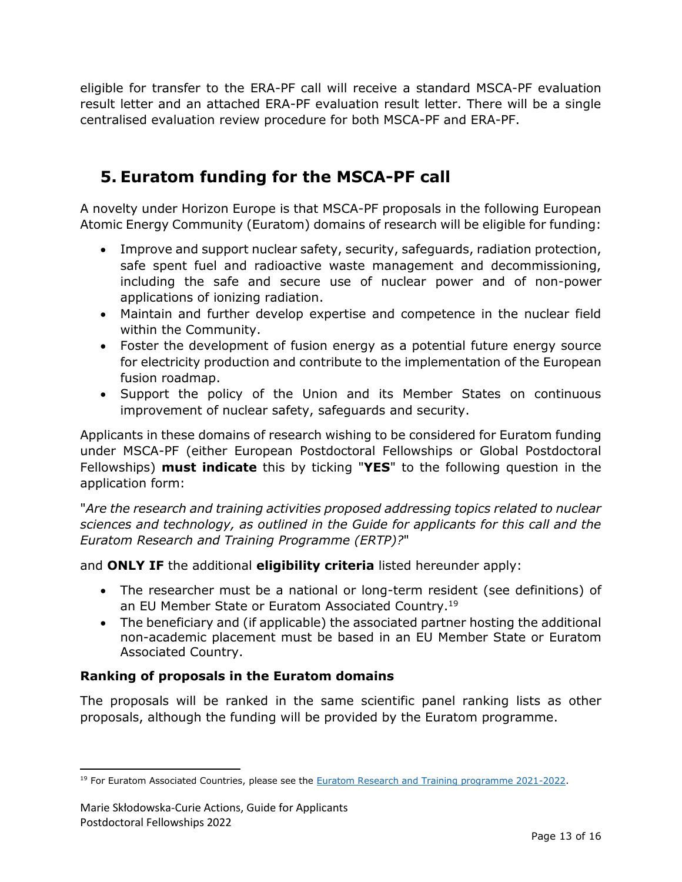eligible for transfer to the ERA-PF call will receive a standard MSCA-PF evaluation result letter and an attached ERA-PF evaluation result letter. There will be a single centralised evaluation review procedure for both MSCA-PF and ERA-PF.

### <span id="page-12-0"></span>**5. Euratom funding for the MSCA-PF call**

A novelty under Horizon Europe is that MSCA-PF proposals in the following European Atomic Energy Community (Euratom) domains of research will be eligible for funding:

- Improve and support nuclear safety, security, safeguards, radiation protection, safe spent fuel and radioactive waste management and decommissioning, including the safe and secure use of nuclear power and of non-power applications of ionizing radiation.
- Maintain and further develop expertise and competence in the nuclear field within the Community.
- Foster the development of fusion energy as a potential future energy source for electricity production and contribute to the implementation of the European fusion roadmap.
- Support the policy of the Union and its Member States on continuous improvement of nuclear safety, safeguards and security.

Applicants in these domains of research wishing to be considered for Euratom funding under MSCA-PF (either European Postdoctoral Fellowships or Global Postdoctoral Fellowships) **must indicate** this by ticking "**YES**" to the following question in the application form:

"*Are the research and training activities proposed addressing topics related to nuclear sciences and technology, as outlined in the Guide for applicants for this call and the Euratom Research and Training Programme (ERTP)?*"

and **ONLY IF** the additional **eligibility criteria** listed hereunder apply:

- The researcher must be a national or long-term resident (see definitions) of an EU Member State or Euratom Associated Country.<sup>19</sup>
- The beneficiary and (if applicable) the associated partner hosting the additional non-academic placement must be based in an EU Member State or Euratom Associated Country.

### **Ranking of proposals in the Euratom domains**

The proposals will be ranked in the same scientific panel ranking lists as other proposals, although the funding will be provided by the Euratom programme.

l <sup>19</sup> For Euratom Associated Countries, please see the [Euratom Research and Training programme 2021-2022.](https://ec.europa.eu/info/research-and-innovation/funding/funding-opportunities/funding-programmes-and-open-calls/horizon-europe/euratom-research-and-training-programme_en)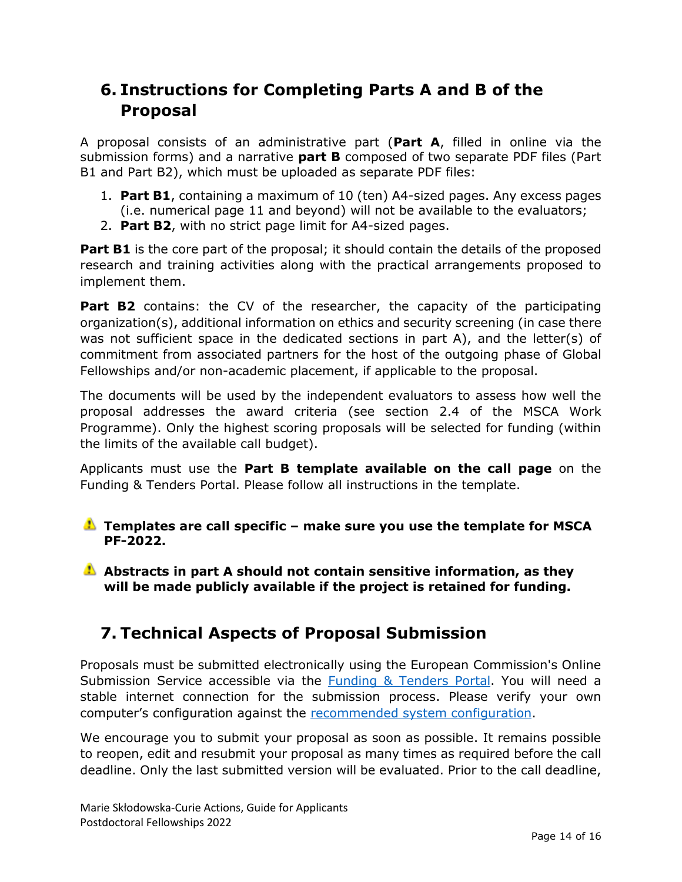### <span id="page-13-0"></span>**6. Instructions for Completing Parts A and B of the Proposal**

A proposal consists of an administrative part (**Part A**, filled in online via the submission forms) and a narrative **part B** composed of two separate PDF files (Part B1 and Part B2), which must be uploaded as separate PDF files:

- 1. **Part B1**, containing a maximum of 10 (ten) A4-sized pages. Any excess pages (i.e. numerical page 11 and beyond) will not be available to the evaluators;
- 2. **Part B2**, with no strict page limit for A4-sized pages.

**Part B1** is the core part of the proposal; it should contain the details of the proposed research and training activities along with the practical arrangements proposed to implement them.

**Part B2** contains: the CV of the researcher, the capacity of the participating organization(s), additional information on ethics and security screening (in case there was not sufficient space in the dedicated sections in part A), and the letter(s) of commitment from associated partners for the host of the outgoing phase of Global Fellowships and/or non-academic placement, if applicable to the proposal.

The documents will be used by the independent evaluators to assess how well the proposal addresses the award criteria (see section 2.4 of the MSCA Work Programme). Only the highest scoring proposals will be selected for funding (within the limits of the available call budget).

Applicants must use the **Part B template available on the [call page](https://ec.europa.eu/info/funding-tenders/opportunities/portal/screen/opportunities/topic-details/horizon-msca-2022-pf-01-01;callCode=null;freeTextSearchKeyword=msca-2022-pf;matchWholeText=true;typeCodes=1,0;statusCodes=31094501,31094502,31094503;programmePeriod=null;programCcm2Id=null;programDivisionCode=null;focusAreaCode=null;destination=null;mission=null;geographicalZonesCode=null;programmeDivisionProspect=null;startDateLte=null;startDateGte=null;crossCuttingPriorityCode=null;cpvCode=null;performanceOfDelivery=null;sortQuery=sortStatus;orderBy=asc;onlyTenders=false;topicListKey=topicSearchTablePageState)** on the Funding & Tenders Portal. Please follow all instructions in the template.

#### **Templates are call specific – make sure you use the template for MSCA PF-2022.**

**Abstracts in part A should not contain sensitive information, as they will be made publicly available if the project is retained for funding.**

## <span id="page-13-1"></span>**7. Technical Aspects of Proposal Submission**

Proposals must be submitted electronically using the European Commission's Online Submission Service accessible via the [Funding & Tenders](https://ec.europa.eu/info/funding-tenders/opportunities/portal/screen/opportunities/topic-details/horizon-msca-2022-pf-01-01;callCode=null;freeTextSearchKeyword=msca-2022-pf;matchWholeText=true;typeCodes=1,0;statusCodes=31094501,31094502,31094503;programmePeriod=null;programCcm2Id=null;programDivisionCode=null;focusAreaCode=null;destination=null;mission=null;geographicalZonesCode=null;programmeDivisionProspect=null;startDateLte=null;startDateGte=null;crossCuttingPriorityCode=null;cpvCode=null;performanceOfDelivery=null;sortQuery=sortStatus;orderBy=asc;onlyTenders=false;topicListKey=topicSearchTablePageState) Portal. You will need a stable internet connection for the submission process. Please verify your own computer's configuration against the [recommended system configuration.](https://ec.europa.eu/research/participants/data/support/sep_usermanual.pdf)

We encourage you to submit your proposal as soon as possible. It remains possible to reopen, edit and resubmit your proposal as many times as required before the call deadline. Only the last submitted version will be evaluated. Prior to the call deadline,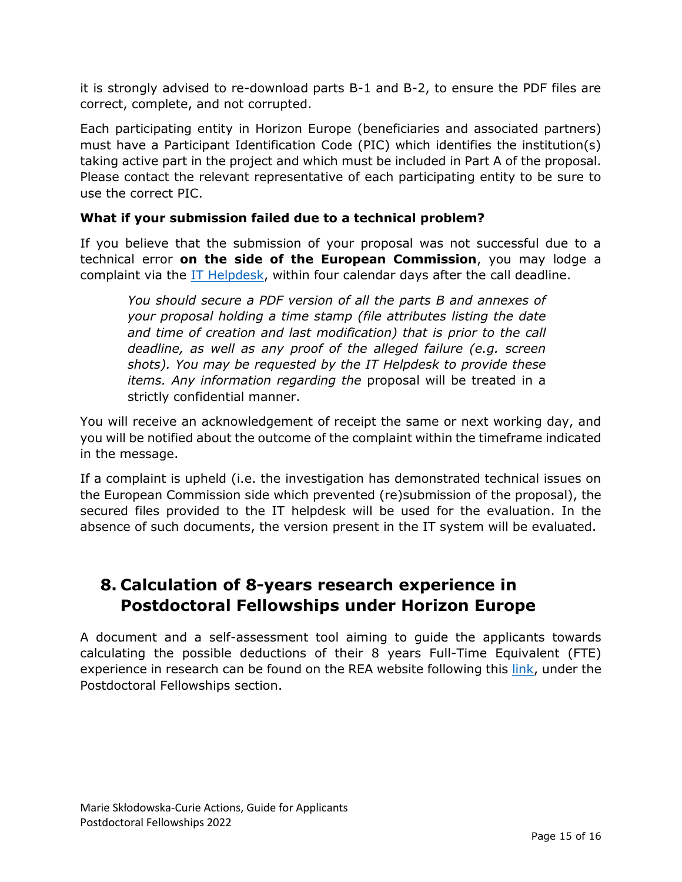it is strongly advised to re-download parts B-1 and B-2, to ensure the PDF files are correct, complete, and not corrupted.

Each participating entity in Horizon Europe (beneficiaries and associated partners) must have a Participant Identification Code (PIC) which identifies the institution(s) taking active part in the project and which must be included in Part A of the proposal. Please contact the relevant representative of each participating entity to be sure to use the correct PIC.

#### **What if your submission failed due to a technical problem?**

If you believe that the submission of your proposal was not successful due to a technical error **on the side of the European Commission**, you may lodge a complaint via the **IT Helpdesk**, within four calendar days after the call deadline.

*You should secure a PDF version of all the parts B and annexes of your proposal holding a time stamp (file attributes listing the date and time of creation and last modification) that is prior to the call deadline, as well as any proof of the alleged failure (e.g. screen shots). You may be requested by the IT Helpdesk to provide these items. Any information regarding the* proposal will be treated in a strictly confidential manner.

You will receive an acknowledgement of receipt the same or next working day, and you will be notified about the outcome of the complaint within the timeframe indicated in the message.

If a complaint is upheld (i.e. the investigation has demonstrated technical issues on the European Commission side which prevented (re)submission of the proposal), the secured files provided to the IT helpdesk will be used for the evaluation. In the absence of such documents, the version present in the IT system will be evaluated.

### <span id="page-14-0"></span>**8. Calculation of 8-years research experience in Postdoctoral Fellowships under Horizon Europe**

A document and a self-assessment tool aiming to guide the applicants towards calculating the possible deductions of their 8 years Full-Time Equivalent (FTE) experience in research can be found on the REA website following this [link,](https://rea.ec.europa.eu/funding-and-grants/horizon-europe-marie-sklodowska-curie-actions/horizon-europe-msca-how-apply_en#ecl-inpage-293) under the Postdoctoral Fellowships section.